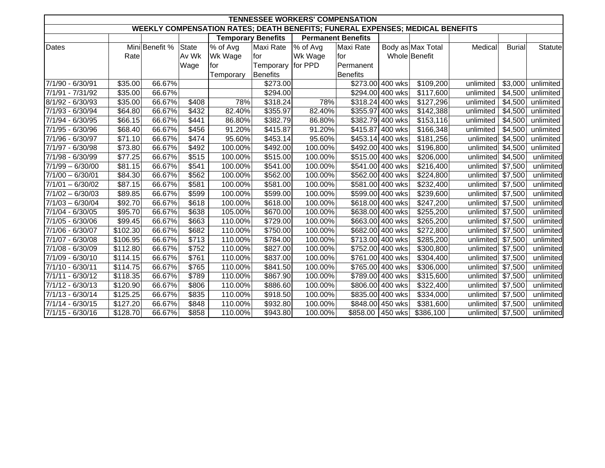| <b>TENNESSEE WORKERS' COMPENSATION</b>                                        |          |                |       |                           |                   |                           |                  |                  |                   |                   |               |           |
|-------------------------------------------------------------------------------|----------|----------------|-------|---------------------------|-------------------|---------------------------|------------------|------------------|-------------------|-------------------|---------------|-----------|
| WEEKLY COMPENSATION RATES; DEATH BENEFITS; FUNERAL EXPENSES; MEDICAL BENEFITS |          |                |       |                           |                   |                           |                  |                  |                   |                   |               |           |
|                                                                               |          |                |       | <b>Temporary Benefits</b> |                   | <b>Permanent Benefits</b> |                  |                  |                   |                   |               |           |
| Dates                                                                         |          | Mini Benefit % | State | % of Avg                  | Maxi Rate         | % of Avg                  | <b>Maxi Rate</b> |                  | Body as Max Total | Medical           | <b>Burial</b> | Statute   |
|                                                                               | Rate     |                | Av Wk | Wk Wage                   | for               | Wk Wage                   | for              |                  | Whole Benefit     |                   |               |           |
|                                                                               |          |                | Wage  | for                       | Temporary for PPD |                           | Permanent        |                  |                   |                   |               |           |
|                                                                               |          |                |       | Temporary                 | <b>Benefits</b>   |                           | <b>Benefits</b>  |                  |                   |                   |               |           |
| 7/1/90 - 6/30/91                                                              | \$35.00  | 66.67%         |       |                           | \$273.00          |                           |                  | \$273.00 400 wks | \$109,200         | unlimited         | \$3,000       | unlimited |
| 7/1/91 - 7/31/92                                                              | \$35.00  | 66.67%         |       |                           | \$294.00          |                           |                  | \$294.00 400 wks | \$117,600         | unlimited         | \$4,500       | unlimited |
| 8/1/92 - 6/30/93                                                              | \$35.00  | 66.67%         | \$408 | 78%                       | \$318.24          | 78%                       |                  | \$318.24 400 wks | \$127,296         | unlimited         | \$4,500       | unlimited |
| 7/1/93 - 6/30/94                                                              | \$64.80  | 66.67%         | \$432 | 82.40%                    | \$355.97          | 82.40%                    |                  | \$355.97 400 wks | \$142,388         | unlimited         | \$4,500       | unlimited |
| 7/1/94 - 6/30/95                                                              | \$66.15  | 66.67%         | \$441 | 86.80%                    | \$382.79          | 86.80%                    |                  | \$382.79 400 wks | \$153,116         | unlimited         | \$4,500       | unlimited |
| 7/1/95 - 6/30/96                                                              | \$68.40  | 66.67%         | \$456 | 91.20%                    | \$415.87          | 91.20%                    |                  | \$415.87 400 wks | \$166,348         | unlimited         | \$4,500       | unlimited |
| 7/1/96 - 6/30/97                                                              | \$71.10  | 66.67%         | \$474 | 95.60%                    | \$453.14          | 95.60%                    |                  | \$453.14 400 wks | \$181,256         | unlimited         | \$4,500       | unlimited |
| 7/1/97 - 6/30/98                                                              | \$73.80  | 66.67%         | \$492 | 100.00%                   | \$492.00          | 100.00%                   |                  | \$492.00 400 wks | \$196,800         | unlimited         | \$4,500       | unlimited |
| 7/1/98 - 6/30/99                                                              | \$77.25  | 66.67%         | \$515 | 100.00%                   | \$515.00          | 100.00%                   |                  | \$515.00 400 wks | \$206,000         | unlimited         | \$4,500       | unlimited |
| $7/1/99 - 6/30/00$                                                            | \$81.15  | 66.67%         | \$541 | 100.00%                   | \$541.00          | 100.00%                   |                  | \$541.00 400 wks | \$216,400         | unlimited         | \$7,500       | unlimited |
| $7/1/00 - 6/30/01$                                                            | \$84.30  | 66.67%         | \$562 | 100.00%                   | \$562.00          | 100.00%                   |                  | \$562.00 400 wks | \$224,800         | unlimited         | \$7,500       | unlimited |
| $7/1/01 - 6/30/02$                                                            | \$87.15  | 66.67%         | \$581 | 100.00%                   | \$581.00          | 100.00%                   |                  | \$581.00 400 wks | \$232,400         | unlimited         | \$7,500       | unlimited |
| $7/1/02 - 6/30/03$                                                            | \$89.85  | 66.67%         | \$599 | 100.00%                   | \$599.00          | 100.00%                   |                  | \$599.00 400 wks | \$239,600         | unlimited         | \$7,500       | unlimited |
| $7/1/03 - 6/30/04$                                                            | \$92.70  | 66.67%         | \$618 | 100.00%                   | \$618.00          | 100.00%                   |                  | \$618.00 400 wks | \$247,200         | unlimited         | \$7,500       | unlimited |
| $7/1/04 - 6/30/05$                                                            | \$95.70  | 66.67%         | \$638 | 105.00%                   | \$670.00          | 100.00%                   |                  | \$638.00 400 wks | \$255,200         | unlimited         | \$7,500       | unlimited |
| 7/1/05 - 6/30/06                                                              | \$99.45  | 66.67%         | \$663 | 110.00%                   | \$729.00          | 100.00%                   |                  | \$663.00 400 wks | \$265,200         | unlimited         | \$7,500       | unlimited |
| 7/1/06 - 6/30/07                                                              | \$102.30 | 66.67%         | \$682 | 110.00%                   | \$750.00          | 100.00%                   |                  | \$682.00 400 wks | \$272,800         | unlimited         | \$7,500       | unlimited |
| 7/1/07 - 6/30/08                                                              | \$106.95 | 66.67%         | \$713 | 110.00%                   | \$784.00          | 100.00%                   |                  | \$713.00 400 wks | \$285,200         | unlimited         | \$7,500       | unlimited |
| 7/1/08 - 6/30/09                                                              | \$112.80 | 66.67%         | \$752 | 110.00%                   | \$827.00          | 100.00%                   |                  | \$752.00 400 wks | \$300,800         | unlimited         | \$7,500       | unlimited |
| 7/1/09 - 6/30/10                                                              | \$114.15 | 66.67%         | \$761 | 110.00%                   | \$837.00          | 100.00%                   |                  | \$761.00 400 wks | \$304,400         | unlimited         | \$7,500       | unlimited |
| 7/1/10 - 6/30/11                                                              | \$114.75 | 66.67%         | \$765 | 110.00%                   | \$841.50          | 100.00%                   |                  | \$765.00 400 wks | \$306,000         | unlimited         | \$7,500       | unlimited |
| 7/1/11 - 6/30/12                                                              | \$118.35 | 66.67%         | \$789 | 110.00%                   | \$867.90          | 100.00%                   |                  | \$789.00 400 wks | \$315,600         | unlimited         | \$7,500       | unlimited |
| $7/1/12 - 6/30/13$                                                            | \$120.90 | 66.67%         | \$806 | 110.00%                   | \$886.60          | 100.00%                   |                  | \$806.00 400 wks | \$322,400         | unlimited         | \$7,500       | unlimited |
| $7/1/13 - 6/30/14$                                                            | \$125.25 | 66.67%         | \$835 | 110.00%                   | \$918.50          | 100.00%                   |                  | \$835.00 400 wks | \$334,000         | unlimited         | \$7,500       | unlimited |
| $7/1/14 - 6/30/15$                                                            | \$127.20 | 66.67%         | \$848 | 110.00%                   | \$932.80          | 100.00%                   |                  | \$848.00 450 wks | \$381,600         | unlimited         | \$7,500       | unlimited |
| $7/1/15 - 6/30/16$                                                            | \$128.70 | 66.67%         | \$858 | 110.00%                   | \$943.80          | 100.00%                   |                  | \$858.00 450 wks | \$386,100         | unlimited \$7,500 |               | unlimited |